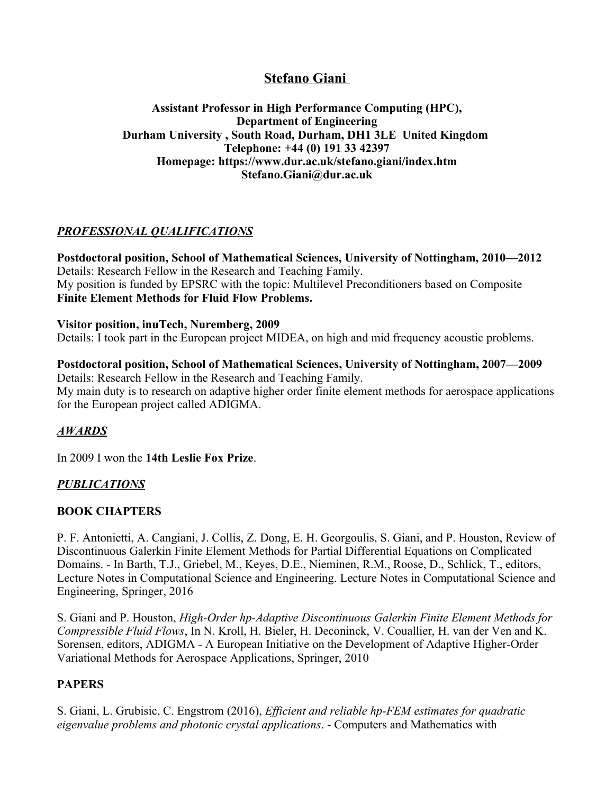# **Stefano Giani**

#### **Assistant Professor in High Performance Computing (HPC), Department of Engineering Durham University , South Road, Durham, DH1 3LE United Kingdom Telephone: +44 (0) 191 33 42397 Homepage: https://www.dur.ac.uk/stefano.giani/index.htm Stefano.Giani@dur.ac.uk**

## *PROFESSIONAL QUALIFICATIONS*

**Postdoctoral position, School of Mathematical Sciences, University of Nottingham, 2010—2012**  Details: Research Fellow in the Research and Teaching Family. My position is funded by EPSRC with the topic: Multilevel Preconditioners based on Composite **Finite Element Methods for Fluid Flow Problems.**

#### **Visitor position, inuTech, Nuremberg, 2009**

Details: I took part in the European project MIDEA, on high and mid frequency acoustic problems.

## **Postdoctoral position, School of Mathematical Sciences, University of Nottingham, 2007—2009**

Details: Research Fellow in the Research and Teaching Family. My main duty is to research on adaptive higher order finite element methods for aerospace applications for the European project called ADIGMA.

### *AWARDS*

In 2009 I won the **14th Leslie Fox Prize**.

## *PUBLICATIONS*

### **BOOK CHAPTERS**

P. F. Antonietti, A. Cangiani, J. Collis, Z. Dong, E. H. Georgoulis, S. Giani, and P. Houston, Review of Discontinuous Galerkin Finite Element Methods for Partial Differential Equations on Complicated Domains. - In Barth, T.J., Griebel, M., Keyes, D.E., Nieminen, R.M., Roose, D., Schlick, T., editors, Lecture Notes in Computational Science and Engineering. Lecture Notes in Computational Science and Engineering, Springer, 2016

S. Giani and P. Houston, *High-Order hp-Adaptive Discontinuous Galerkin Finite Element Methods for Compressible Fluid Flows*, In N. Kroll, H. Bieler, H. Deconinck, V. Couallier, H. van der Ven and K. Sorensen, editors, ADIGMA - A European Initiative on the Development of Adaptive Higher-Order Variational Methods for Aerospace Applications, Springer, 2010

### **PAPERS**

S. Giani, L. Grubisic, C. Engstrom (2016), *Efficient and reliable hp-FEM estimates for quadratic eigenvalue problems and photonic crystal applications*. - Computers and Mathematics with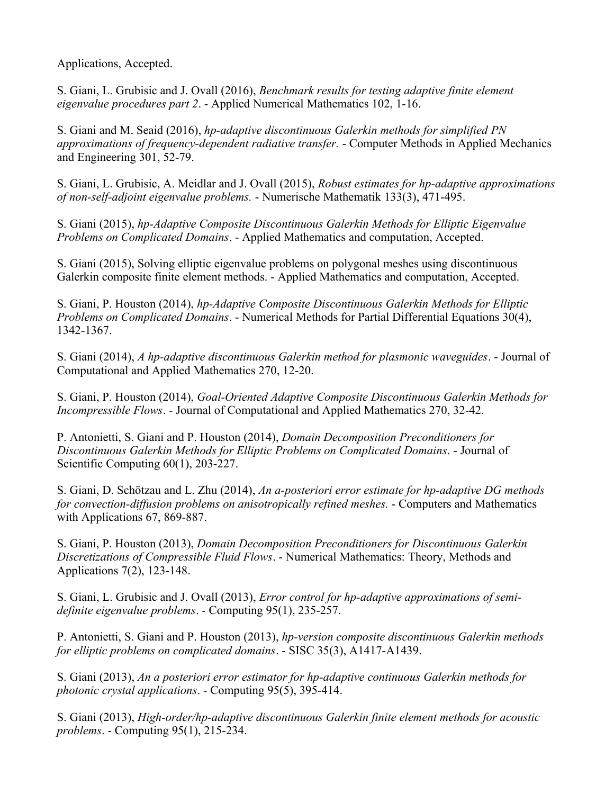Applications, Accepted.

S. Giani, L. Grubisic and J. Ovall (2016), *Benchmark results for testing adaptive finite element eigenvalue procedures part 2*. - Applied Numerical Mathematics 102, 1-16.

S. Giani and M. Seaid (2016), *hp-adaptive discontinuous Galerkin methods for simplified PN approximations of frequency-dependent radiative transfer.* - Computer Methods in Applied Mechanics and Engineering 301, 52-79.

S. Giani, L. Grubisic, A. Meidlar and J. Ovall (2015), *Robust estimates for hp-adaptive approximations of non-self-adjoint eigenvalue problems.* - Numerische Mathematik 133(3), 471-495.

S. Giani (2015), *hp-Adaptive Composite Discontinuous Galerkin Methods for Elliptic Eigenvalue Problems on Complicated Domains*. - Applied Mathematics and computation, Accepted.

S. Giani (2015), Solving elliptic eigenvalue problems on polygonal meshes using discontinuous Galerkin composite finite element methods. - Applied Mathematics and computation, Accepted.

S. Giani, P. Houston (2014), *hp-Adaptive Composite Discontinuous Galerkin Methods for Elliptic Problems on Complicated Domains*. - Numerical Methods for Partial Differential Equations 30(4), 1342-1367.

S. Giani (2014), *A hp-adaptive discontinuous Galerkin method for plasmonic waveguides*. - Journal of Computational and Applied Mathematics 270, 12-20.

S. Giani, P. Houston (2014), *Goal-Oriented Adaptive Composite Discontinuous Galerkin Methods for Incompressible Flows*. - Journal of Computational and Applied Mathematics 270, 32-42.

P. Antonietti, S. Giani and P. Houston (2014), *Domain Decomposition Preconditioners for Discontinuous Galerkin Methods for Elliptic Problems on Complicated Domains*. - Journal of Scientific Computing  $60(1)$ , 203-227.

S. Giani, D. Schötzau and L. Zhu (2014), *An a-posteriori error estimate for hp-adaptive DG methods for convection-diffusion problems on anisotropically refined meshes.* - Computers and Mathematics with Applications 67, 869-887.

S. Giani, P. Houston (2013), *Domain Decomposition Preconditioners for Discontinuous Galerkin Discretizations of Compressible Fluid Flows*. - Numerical Mathematics: Theory, Methods and Applications 7(2), 123-148.

S. Giani, L. Grubisic and J. Ovall (2013), *Error control for hp-adaptive approximations of semidefinite eigenvalue problems*. - Computing 95(1), 235-257.

P. Antonietti, S. Giani and P. Houston (2013), *hp-version composite discontinuous Galerkin methods for elliptic problems on complicated domains*. - SISC 35(3), A1417-A1439.

S. Giani (2013), *An a posteriori error estimator for hp-adaptive continuous Galerkin methods for photonic crystal applications*. - Computing 95(5), 395-414.

S. Giani (2013), *High-order/hp-adaptive discontinuous Galerkin finite element methods for acoustic problems*. - Computing 95(1), 215-234.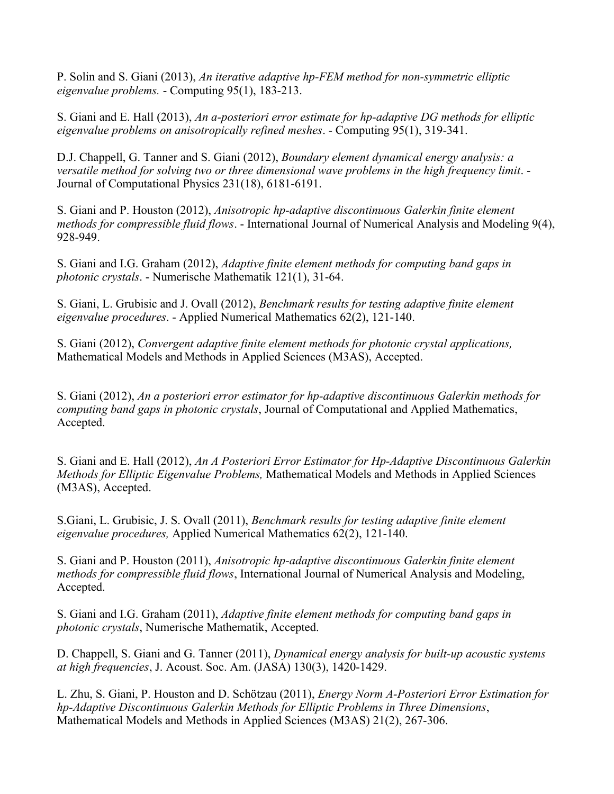P. Solin and S. Giani (2013), *An iterative adaptive hp-FEM method for non-symmetric elliptic eigenvalue problems.* - Computing 95(1), 183-213.

S. Giani and E. Hall (2013), *An a-posteriori error estimate for hp-adaptive DG methods for elliptic eigenvalue problems on anisotropically refined meshes*. - Computing 95(1), 319-341.

D.J. Chappell, G. Tanner and S. Giani (2012), *Boundary element dynamical energy analysis: a versatile method for solving two or three dimensional wave problems in the high frequency limit.* -Journal of Computational Physics 231(18), 6181-6191.

S. Giani and P. Houston (2012), *Anisotropic hp-adaptive discontinuous Galerkin finite element methods for compressible fluid flows*. - International Journal of Numerical Analysis and Modeling 9(4), 928-949.

S. Giani and I.G. Graham (2012), *Adaptive finite element methods for computing band gaps in photonic crystals*. - Numerische Mathematik 121(1), 31-64.

S. Giani, L. Grubisic and J. Ovall (2012), *Benchmark results for testing adaptive finite element eigenvalue procedures*. - Applied Numerical Mathematics 62(2), 121-140.

S. Giani (2012), *Convergent adaptive finite element methods for photonic crystal applications,*  Mathematical Models and Methods in Applied Sciences (M3AS), Accepted.

S. Giani (2012), *An a posteriori error estimator for hp-adaptive discontinuous Galerkin methods for computing band gaps in photonic crystals*, Journal of Computational and Applied Mathematics, Accepted.

S. Giani and E. Hall (2012), *An A Posteriori Error Estimator for Hp-Adaptive Discontinuous Galerkin Methods for Elliptic Eigenvalue Problems,* Mathematical Models and Methods in Applied Sciences (M3AS), Accepted.

S.Giani, L. Grubisic, J. S. Ovall (2011), *Benchmark results for testing adaptive finite element eigenvalue procedures,* Applied Numerical Mathematics 62(2), 121-140.

S. Giani and P. Houston (2011), *Anisotropic hp-adaptive discontinuous Galerkin finite element methods for compressible fluid flows*, International Journal of Numerical Analysis and Modeling, Accepted.

S. Giani and I.G. Graham (2011), *Adaptive finite element methods for computing band gaps in photonic crystals*, Numerische Mathematik, Accepted.

D. Chappell, S. Giani and G. Tanner (2011), *Dynamical energy analysis for built-up acoustic systems at high frequencies*, J. Acoust. Soc. Am. (JASA) 130(3), 1420-1429.

L. Zhu, S. Giani, P. Houston and D. Schötzau (2011), *Energy Norm A-Posteriori Error Estimation for hp-Adaptive Discontinuous Galerkin Methods for Elliptic Problems in Three Dimensions*, Mathematical Models and Methods in Applied Sciences (M3AS) 21(2), 267-306.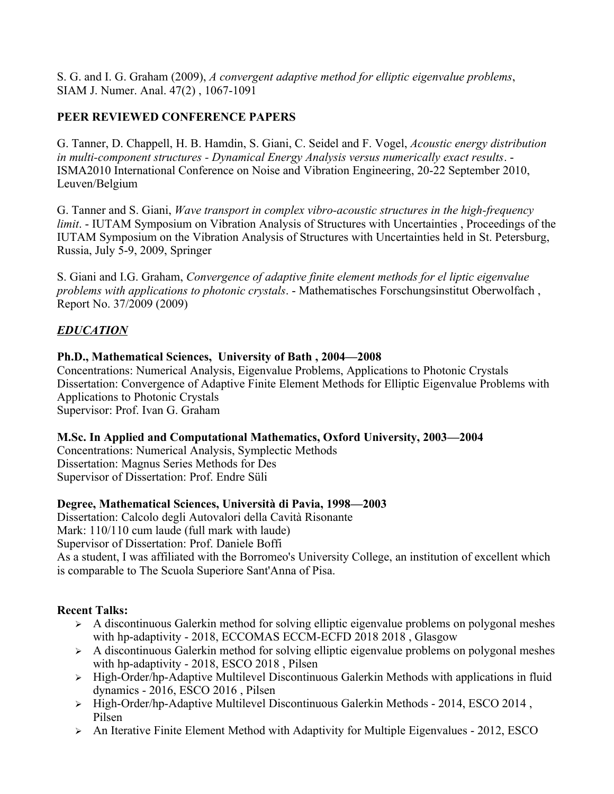S. G. and I. G. Graham (2009), *A convergent adaptive method for elliptic eigenvalue problems*, SIAM J. Numer. Anal. 47(2) , 1067-1091

### **PEER REVIEWED CONFERENCE PAPERS**

G. Tanner, D. Chappell, H. B. Hamdin, S. Giani, C. Seidel and F. Vogel, *Acoustic energy distribution in multi-component structures - Dynamical Energy Analysis versus numerically exact results*. - ISMA2010 International Conference on Noise and Vibration Engineering, 20-22 September 2010, Leuven/Belgium

G. Tanner and S. Giani, *Wave transport in complex vibro-acoustic structures in the high-frequency limit.* - IUTAM Symposium on Vibration Analysis of Structures with Uncertainties, Proceedings of the IUTAM Symposium on the Vibration Analysis of Structures with Uncertainties held in St. Petersburg, Russia, July 5-9, 2009, Springer

S. Giani and I.G. Graham, *Convergence of adaptive finite element methods for el liptic eigenvalue problems with applications to photonic crystals*. - Mathematisches Forschungsinstitut Oberwolfach , Report No. 37/2009 (2009)

### *EDUCATION*

#### **Ph.D., Mathematical Sciences, University of Bath , 2004—2008**

Concentrations: Numerical Analysis, Eigenvalue Problems, Applications to Photonic Crystals Dissertation: Convergence of Adaptive Finite Element Methods for Elliptic Eigenvalue Problems with Applications to Photonic Crystals Supervisor: Prof. Ivan G. Graham

#### **M.Sc. In Applied and Computational Mathematics, Oxford University, 2003—2004**

Concentrations: Numerical Analysis, Symplectic Methods Dissertation: Magnus Series Methods for Des Supervisor of Dissertation: Prof. Endre Süli

### **Degree, Mathematical Sciences, Università di Pavia, 1998—2003**

Dissertation: Calcolo degli Autovalori della Cavità Risonante Mark: 110/110 cum laude (full mark with laude) Supervisor of Dissertation: Prof. Daniele Boffi As a student, I was affiliated with the Borromeo's University College, an institution of excellent which is comparable to The Scuola Superiore Sant'Anna of Pisa.

### **Recent Talks:**

- $\triangleright$  A discontinuous Galerkin method for solving elliptic eigenvalue problems on polygonal meshes with hp-adaptivity - 2018, ECCOMAS ECCM-ECFD 2018 2018 , Glasgow
- $\triangleright$  A discontinuous Galerkin method for solving elliptic eigenvalue problems on polygonal meshes with hp-adaptivity - 2018, ESCO 2018 , Pilsen
- ➢ High-Order/hp-Adaptive Multilevel Discontinuous Galerkin Methods with applications in fluid dynamics - 2016, ESCO 2016 , Pilsen
- ➢ High-Order/hp-Adaptive Multilevel Discontinuous Galerkin Methods 2014, ESCO 2014 , Pilsen
- $\triangleright$  An Iterative Finite Element Method with Adaptivity for Multiple Eigenvalues 2012, ESCO